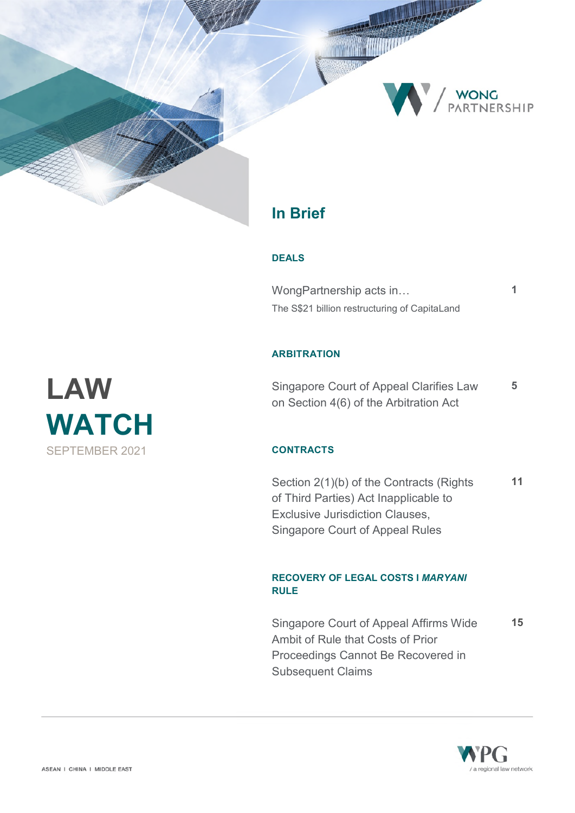

## **In Brief**

#### **DEALS**

í

WongPartnership acts in… **1**  [The S\\$21 billion restructuring of CapitaLand](#page-1-0) 

### **ARBITRATION**

[Singapore Court of Appeal Clarifies Law](#page-5-0)  on Section 4(6) of the Arbitration Act **5** 

## **CONTRACTS**

[Section 2\(1\)\(b\) of the Contracts \(Rights](#page-11-0)  of Third Parties) Act Inapplicable to Exclusive Jurisdiction Clauses, Singapore Court of Appeal Rules **11** 

## **RECOVERY OF LEGAL COSTS I** *MARYANI* **RULE**

[Singapore Court of Appeal Affirms Wide](#page-15-0)  Ambit of Rule that Costs of Prior Proceedings Cannot Be Recovered in Subsequent Claims **15** 



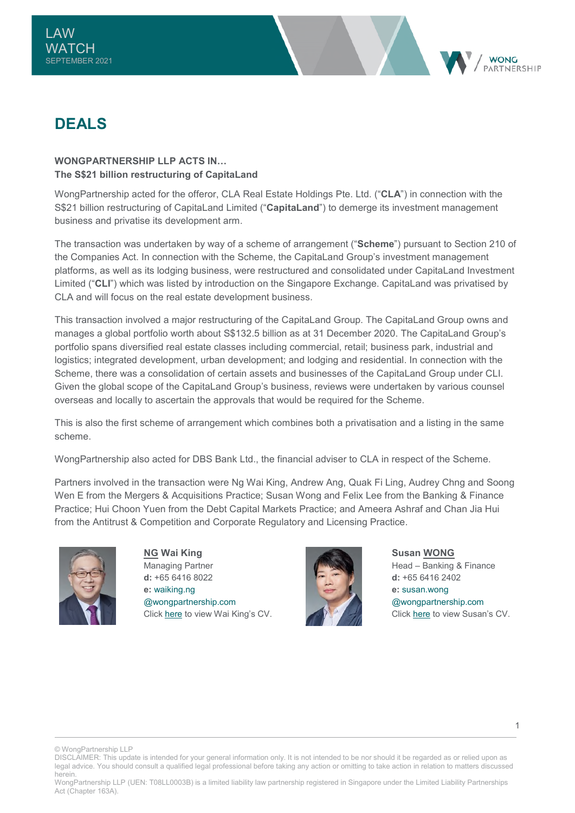<span id="page-1-0"></span>



## **DEALS**

## WONGPARTNERSHIP **III P ACTS IN The S\$21 billion restructuring of CapitaLand**

WongPartnership acted for the offeror, CLA Real Estate Holdings Pte. Ltd. ("**CLA**") in connection with the S\$21 billion restructuring of CapitaLand Limited ("**CapitaLand**") to demerge its investment management business and privatise its development arm.

The transaction was undertaken by way of a scheme of arrangement ("**Scheme**") pursuant to Section 210 of the Companies Act. In connection with the Scheme, the CapitaLand Group's investment management platforms, as well as its lodging business, were restructured and consolidated under CapitaLand Investment Limited ("**CLI**") which was listed by introduction on the Singapore Exchange. CapitaLand was privatised by CLA and will focus on the real estate development business.

This transaction involved a major restructuring of the CapitaLand Group. The CapitaLand Group owns and manages a global portfolio worth about S\$132.5 billion as at 31 December 2020. The CapitaLand Group's portfolio spans diversified real estate classes including commercial, retail; business park, industrial and logistics; integrated development, urban development; and lodging and residential. In connection with the Scheme, there was a consolidation of certain assets and businesses of the CapitaLand Group under CLI. Given the global scope of the CapitaLand Group's business, reviews were undertaken by various counsel overseas and locally to ascertain the approvals that would be required for the Scheme.

This is also the first scheme of arrangement which combines both a privatisation and a listing in the same scheme.

WongPartnership also acted for DBS Bank Ltd., the financial adviser to CLA in respect of the Scheme.

Partners involved in the transaction were Ng Wai King, Andrew Ang, Quak Fi Ling, Audrey Chng and Soong Wen E from the Mergers & Acquisitions Practice: Susan Wong and Felix Lee from the Banking & Finance Practice; Hui Choon Yuen from the Debt Capital Markets Practice; and Ameera Ashraf and Chan Jia Hui from the Antitrust & Competition and Corporate Regulatory and Licensing Practice.



**NG Wai King**  Managing Partner **d:** +65 6416 8022 **e:** [waiking.ng](mailto:waiking.ng@wongpartnership.com)  [@wongpartnership.com](mailto:waiking.ng@wongpartnership.com) Clic[k here](https://www.wongpartnership.com/people/detail/ng-wai-king) to view Wai King's CV.



**Susan WONG** Head – Banking & Finance **d:** +65 6416 2402 **e:** [susan.wong](mailto:susan.wong@wongpartnership.com)  [@wongpartnership.com](mailto:susan.wong@wongpartnership.com) Clic[k here](https://www.wongpartnership.com/people/detail/susan-wong) to view Susan's CV.

© WongPartnership LLP

DISCLAIMER: This update is intended for your general information only. It is not intended to be nor should it be regarded as or relied upon as legal advice. You should consult a qualified legal professional before taking any action or omitting to take action in relation to matters discussed herein.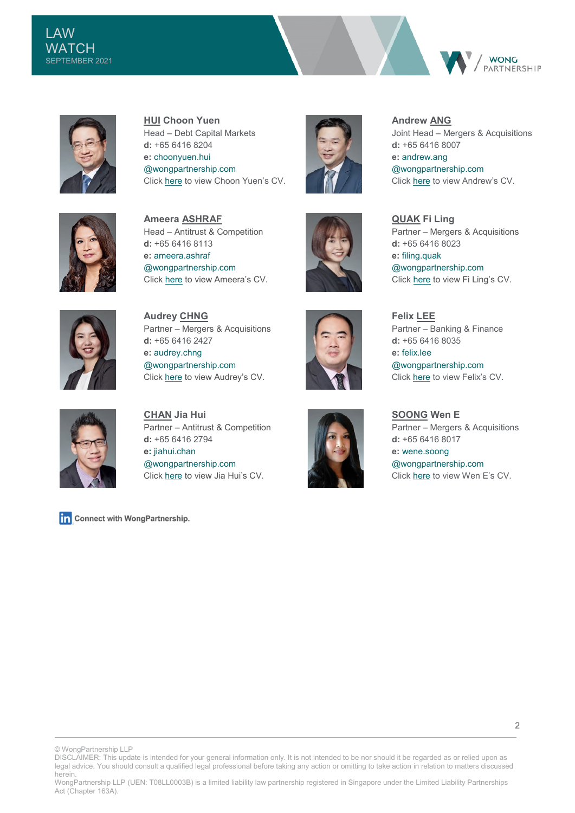





**HUI Choon Yuen**  Head – Debt Capital Markets **d:** +65 6416 8204 **e:** [choonyuen.hui](mailto:choonyuen.hui@wongpartnership.com)  [@wongpartnership.com](mailto:choonyuen.hui@wongpartnership.com) Clic[k here](https://www.wongpartnership.com/people/detail/hui-choon-yuen) to view Choon Yuen's CV.



**Andrew ANG**  Joint Head – Mergers & Acquisitions **d:** +65 6416 8007 **e:** [andrew.ang](mailto:andrew.ang@wongpartnership.com)  [@wongpartnership.com](mailto:andrew.ang@wongpartnership.com) Clic[k here](https://www.wongpartnership.com/people/detail/andrew-ang) to view Andrew's CV.



**Ameera ASHRAF** Head – Antitrust & Competition **d:** +65 6416 8113 **e:** [ameera.ashraf](mailto:ameera.ashraf@wongpartnership.com)  [@wongpartnership.com](mailto:ameera.ashraf@wongpartnership.com) Click [here](https://www.wongpartnership.com/people/detail/ameera-ashraf) to view Ameera's CV.



**QUAK Fi Ling** Partner – Mergers & Acquisitions **d:** +65 6416 8023 **e:** [filing.quak](mailto:filing.quak@wongpartnership.com)  [@wongpartnership.com](mailto:filing.quak@wongpartnership.com) Click [here](https://www.wongpartnership.com/people/detail/quak-fi-ling) to view Fi Ling's CV.



**Audrey CHNG** Partner – Mergers & Acquisitions **d:** +65 6416 2427 **e:** [audrey.chng](mailto:audrey.chng@wongpartnership.com)  [@wongpartnership.com](mailto:audrey.chng@wongpartnership.com) Clic[k here](https://www.wongpartnership.com/people/detail/audrey-chng) to view Audrey's CV.





**Felix LEE**  Partner – Banking & Finance **d:** +65 6416 8035 **e:** [felix.lee](mailto:felix.lee@wongpartnership.com)  [@wongpartnership.com](mailto:felix.lee@wongpartnership.com) Clic[k here](https://www.wongpartnership.com/people/detail/felix-lee) to view Felix's CV.

Partner – Mergers & Acquisitions

**SOONG Wen E** 

**d:** +65 6416 8017 **e:** [wene.soong](mailto:wene.soong@wongpartnership.com) 

[@wongpartnership.com](mailto:wene.soong@wongpartnership.com) Clic[k here](https://www.wongpartnership.com/people/detail/soong-wen-e) to view Wen E's CV.

**CHAN Jia Hui** Partner – Antitrust & Competition **d:** +65 6416 2794 **e:** [jiahui.chan](mailto:jiahui.chan@wongpartnership.com)  [@wongpartnership.com](mailto:jiahui.chan@wongpartnership.com) Clic[k here](https://www.wongpartnership.com/people/detail/chan-jia-hui) to view Jia Hui's CV.

Connect with WongPartnership.

© WongPartnership LLP

DISCLAIMER: This update is intended for your general information only. It is not intended to be nor should it be regarded as or relied upon as legal advice. You should consult a qualified legal professional before taking any action or omitting to take action in relation to matters discussed herein.

WongPartnership LLP (UEN: T08LL0003B) is a limited liability law partnership registered in Singapore under the Limited Liability Partnerships Act (Chapter 163A).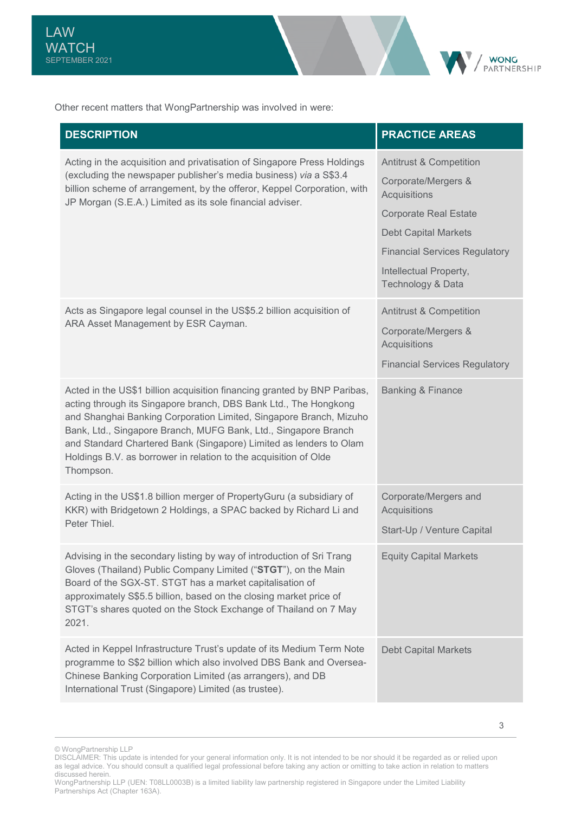

| <b>DESCRIPTION</b>                                                                                                                                                                                                                                                                                                                                                                                                                           | <b>PRACTICE AREAS</b>                                                                                                                                                                                                           |
|----------------------------------------------------------------------------------------------------------------------------------------------------------------------------------------------------------------------------------------------------------------------------------------------------------------------------------------------------------------------------------------------------------------------------------------------|---------------------------------------------------------------------------------------------------------------------------------------------------------------------------------------------------------------------------------|
| Acting in the acquisition and privatisation of Singapore Press Holdings<br>(excluding the newspaper publisher's media business) via a S\$3.4<br>billion scheme of arrangement, by the offeror, Keppel Corporation, with<br>JP Morgan (S.E.A.) Limited as its sole financial adviser.                                                                                                                                                         | <b>Antitrust &amp; Competition</b><br>Corporate/Mergers &<br>Acquisitions<br><b>Corporate Real Estate</b><br><b>Debt Capital Markets</b><br><b>Financial Services Regulatory</b><br>Intellectual Property,<br>Technology & Data |
| Acts as Singapore legal counsel in the US\$5.2 billion acquisition of<br>ARA Asset Management by ESR Cayman.                                                                                                                                                                                                                                                                                                                                 | <b>Antitrust &amp; Competition</b><br>Corporate/Mergers &<br>Acquisitions<br><b>Financial Services Regulatory</b>                                                                                                               |
| Acted in the US\$1 billion acquisition financing granted by BNP Paribas,<br>acting through its Singapore branch, DBS Bank Ltd., The Hongkong<br>and Shanghai Banking Corporation Limited, Singapore Branch, Mizuho<br>Bank, Ltd., Singapore Branch, MUFG Bank, Ltd., Singapore Branch<br>and Standard Chartered Bank (Singapore) Limited as lenders to Olam<br>Holdings B.V. as borrower in relation to the acquisition of Olde<br>Thompson. | <b>Banking &amp; Finance</b>                                                                                                                                                                                                    |
| Acting in the US\$1.8 billion merger of PropertyGuru (a subsidiary of<br>KKR) with Bridgetown 2 Holdings, a SPAC backed by Richard Li and<br>Peter Thiel.                                                                                                                                                                                                                                                                                    | Corporate/Mergers and<br><b>Acquisitions</b><br>Start-Up / Venture Capital                                                                                                                                                      |
| Advising in the secondary listing by way of introduction of Sri Trang<br>Gloves (Thailand) Public Company Limited ("STGT"), on the Main<br>Board of the SGX-ST. STGT has a market capitalisation of<br>approximately S\$5.5 billion, based on the closing market price of<br>STGT's shares quoted on the Stock Exchange of Thailand on 7 May<br>2021.                                                                                        | <b>Equity Capital Markets</b>                                                                                                                                                                                                   |
| Acted in Keppel Infrastructure Trust's update of its Medium Term Note<br>programme to S\$2 billion which also involved DBS Bank and Oversea-<br>Chinese Banking Corporation Limited (as arrangers), and DB<br>International Trust (Singapore) Limited (as trustee).                                                                                                                                                                          | <b>Debt Capital Markets</b>                                                                                                                                                                                                     |

**WONG** PARTNERSHIP

<sup>©</sup> WongPartnership LLP

DISCLAIMER: This update is intended for your general information only. It is not intended to be nor should it be regarded as or relied upon as legal advice. You should consult a qualified legal professional before taking any action or omitting to take action in relation to matters discussed herein.

WongPartnership LLP (UEN: T08LL0003B) is a limited liability law partnership registered in Singapore under the Limited Liability Partnerships Act (Chapter 163A).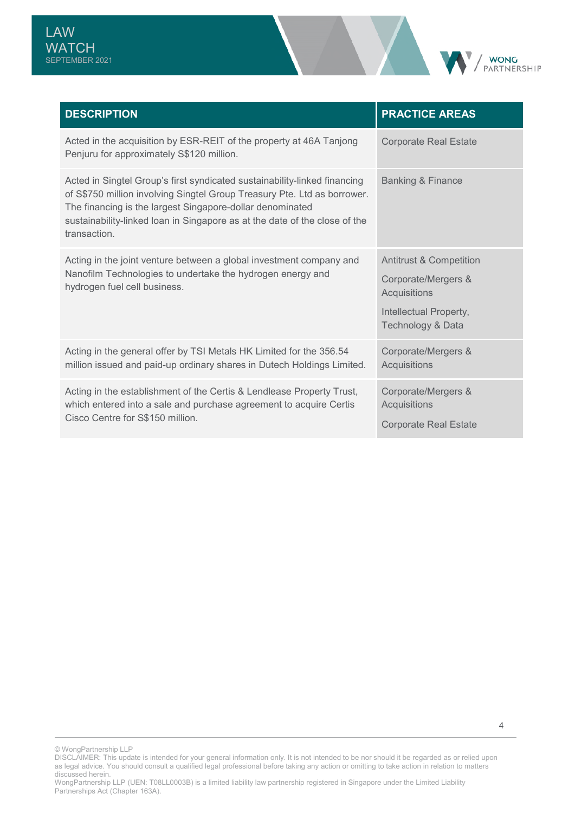

| <b>DESCRIPTION</b>                                                                                                                                                                                                                                                                                               | <b>PRACTICE AREAS</b>                                                                                                    |
|------------------------------------------------------------------------------------------------------------------------------------------------------------------------------------------------------------------------------------------------------------------------------------------------------------------|--------------------------------------------------------------------------------------------------------------------------|
| Acted in the acquisition by ESR-REIT of the property at 46A Tanjong<br>Penjuru for approximately S\$120 million.                                                                                                                                                                                                 | <b>Corporate Real Estate</b>                                                                                             |
| Acted in Singtel Group's first syndicated sustainability-linked financing<br>of S\$750 million involving Singtel Group Treasury Pte. Ltd as borrower.<br>The financing is the largest Singapore-dollar denominated<br>sustainability-linked loan in Singapore as at the date of the close of the<br>transaction. | <b>Banking &amp; Finance</b>                                                                                             |
| Acting in the joint venture between a global investment company and<br>Nanofilm Technologies to undertake the hydrogen energy and<br>hydrogen fuel cell business.                                                                                                                                                | <b>Antitrust &amp; Competition</b><br>Corporate/Mergers &<br>Acquisitions<br>Intellectual Property,<br>Technology & Data |
| Acting in the general offer by TSI Metals HK Limited for the 356.54<br>million issued and paid-up ordinary shares in Dutech Holdings Limited.                                                                                                                                                                    | Corporate/Mergers &<br>Acquisitions                                                                                      |
| Acting in the establishment of the Certis & Lendlease Property Trust,<br>which entered into a sale and purchase agreement to acquire Certis<br>Cisco Centre for S\$150 million.                                                                                                                                  | Corporate/Mergers &<br>Acquisitions<br><b>Corporate Real Estate</b>                                                      |

© WongPartnership LLP

DISCLAIMER: This update is intended for your general information only. It is not intended to be nor should it be regarded as or relied upon as legal advice. You should consult a qualified legal professional before taking any action or omitting to take action in relation to matters discussed herein.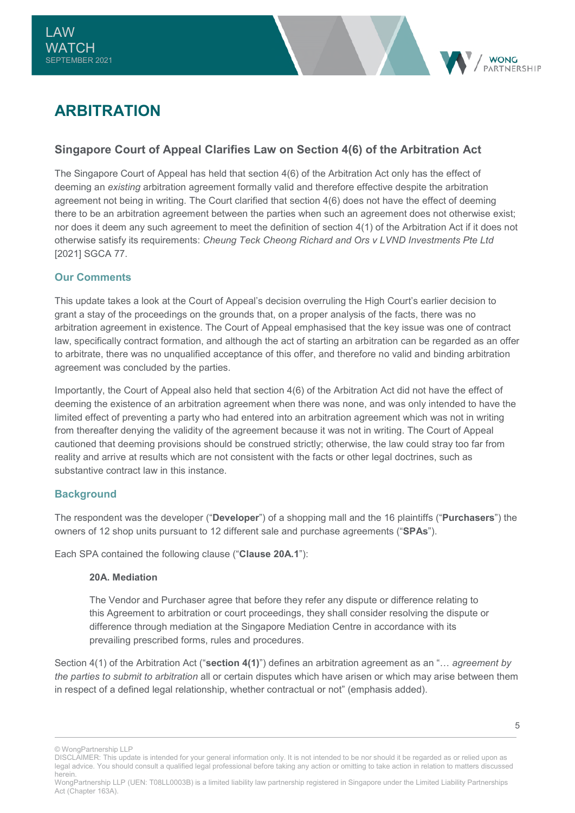

## <span id="page-5-0"></span>**ARBITRATION**

## **Singapore Court of Appeal Clarifies Law on Section 4(6) of the Arbitration Act**

The Singapore Court of Appeal has held that section 4(6) of the Arbitration Act only has the effect of deeming an *existing* arbitration agreement formally valid and therefore effective despite the arbitration agreement not being in writing. The Court clarified that section 4(6) does not have the effect of deeming there to be an arbitration agreement between the parties when such an agreement does not otherwise exist; nor does it deem any such agreement to meet the definition of section 4(1) of the Arbitration Act if it does not otherwise satisfy its requirements: *Cheung Teck Cheong Richard and Ors v LVND Investments Pte Ltd*  [2021] SGCA 77.

## **Our Comments**

This update takes a look at the Court of Appeal's decision overruling the High Court's earlier decision to grant a stay of the proceedings on the grounds that, on a proper analysis of the facts, there was no arbitration agreement in existence. The Court of Appeal emphasised that the key issue was one of contract law, specifically contract formation, and although the act of starting an arbitration can be regarded as an offer to arbitrate, there was no unqualified acceptance of this offer, and therefore no valid and binding arbitration agreement was concluded by the parties.

Importantly, the Court of Appeal also held that section 4(6) of the Arbitration Act did not have the effect of deeming the existence of an arbitration agreement when there was none, and was only intended to have the limited effect of preventing a party who had entered into an arbitration agreement which was not in writing from thereafter denying the validity of the agreement because it was not in writing. The Court of Appeal cautioned that deeming provisions should be construed strictly; otherwise, the law could stray too far from reality and arrive at results which are not consistent with the facts or other legal doctrines, such as substantive contract law in this instance.

## **Background**

The respondent was the developer ("**Developer**") of a shopping mall and the 16 plaintiffs ("**Purchasers**") the owners of 12 shop units pursuant to 12 different sale and purchase agreements ("**SPAs**").

Each SPA contained the following clause ("**Clause 20A.1**"):

#### **20A. Mediation**

The Vendor and Purchaser agree that before they refer any dispute or difference relating to this Agreement to arbitration or court proceedings, they shall consider resolving the dispute or difference through mediation at the Singapore Mediation Centre in accordance with its prevailing prescribed forms, rules and procedures.

Section 4(1) of the Arbitration Act ("**section 4(1)**") defines an arbitration agreement as an "… *agreement by the parties to submit to arbitration* all or certain disputes which have arisen or which may arise between them in respect of a defined legal relationship, whether contractual or not" (emphasis added).

<sup>©</sup> WongPartnership LLP

DISCLAIMER: This update is intended for your general information only. It is not intended to be nor should it be regarded as or relied upon as legal advice. You should consult a qualified legal professional before taking any action or omitting to take action in relation to matters discussed herein.

WongPartnership LLP (UEN: T08LL0003B) is a limited liability law partnership registered in Singapore under the Limited Liability Partnerships Act (Chapter 163A).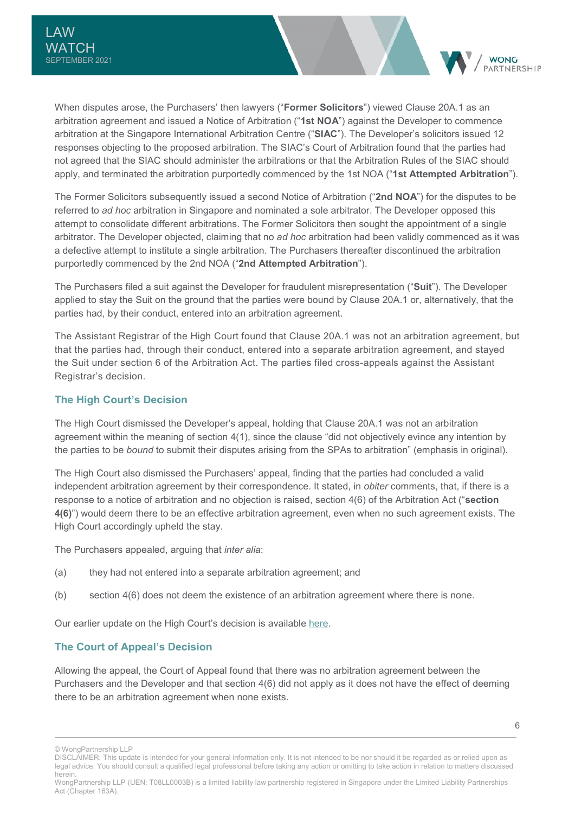When disputes arose, the Purchasers' then lawyers ("**Former Solicitors**") viewed Clause 20A.1 as an arbitration agreement and issued a Notice of Arbitration ("**1st NOA**") against the Developer to commence arbitration at the Singapore International Arbitration Centre ("**SIAC**"). The Developer's solicitors issued 12 responses objecting to the proposed arbitration. The SIAC's Court of Arbitration found that the parties had not agreed that the SIAC should administer the arbitrations or that the Arbitration Rules of the SIAC should apply, and terminated the arbitration purportedly commenced by the 1st NOA ("**1st Attempted Arbitration**").

The Former Solicitors subsequently issued a second Notice of Arbitration ("**2nd NOA**") for the disputes to be referred to *ad hoc* arbitration in Singapore and nominated a sole arbitrator. The Developer opposed this attempt to consolidate different arbitrations. The Former Solicitors then sought the appointment of a single arbitrator. The Developer objected, claiming that no *ad hoc* arbitration had been validly commenced as it was a defective attempt to institute a single arbitration. The Purchasers thereafter discontinued the arbitration purportedly commenced by the 2nd NOA ("**2nd Attempted Arbitration**").

The Purchasers filed a suit against the Developer for fraudulent misrepresentation ("**Suit**"). The Developer applied to stay the Suit on the ground that the parties were bound by Clause 20A.1 or, alternatively, that the parties had, by their conduct, entered into an arbitration agreement.

The Assistant Registrar of the High Court found that Clause 20A.1 was not an arbitration agreement, but that the parties had, through their conduct, entered into a separate arbitration agreement, and stayed the Suit under section 6 of the Arbitration Act. The parties filed cross-appeals against the Assistant Registrar's decision.

## **The High Court's Decision**

The High Court dismissed the Developer's appeal, holding that Clause 20A.1 was not an arbitration agreement within the meaning of section 4(1), since the clause "did not objectively evince any intention by the parties to be *bound* to submit their disputes arising from the SPAs to arbitration" (emphasis in original).

The High Court also dismissed the Purchasers' appeal, finding that the parties had concluded a valid independent arbitration agreement by their correspondence. It stated, in *obiter* comments, that, if there is a response to a notice of arbitration and no objection is raised, section 4(6) of the Arbitration Act ("**section 4(6)**") would deem there to be an effective arbitration agreement, even when no such agreement exists. The High Court accordingly upheld the stay.

The Purchasers appealed, arguing that *inter alia*:

- (a) they had not entered into a separate arbitration agreement; and
- (b) section 4(6) does not deem the existence of an arbitration agreement where there is none.

Our earlier update on the High Court's decision is available [here.](https://www.wongpartnership.com/upload/medias/KnowledgeInsight/document/15296/LawWatch_March2021.PDF#page=8)

#### **The Court of Appeal's Decision**

Allowing the appeal, the Court of Appeal found that there was no arbitration agreement between the Purchasers and the Developer and that section 4(6) did not apply as it does not have the effect of deeming there to be an arbitration agreement when none exists.

**WONG** PARTNERSHIP

<sup>©</sup> WongPartnership LLP

DISCLAIMER: This update is intended for your general information only. It is not intended to be nor should it be regarded as or relied upon as legal advice. You should consult a qualified legal professional before taking any action or omitting to take action in relation to matters discussed herein.

WongPartnership LLP (UEN: T08LL0003B) is a limited liability law partnership registered in Singapore under the Limited Liability Partnerships Act (Chapter 163A).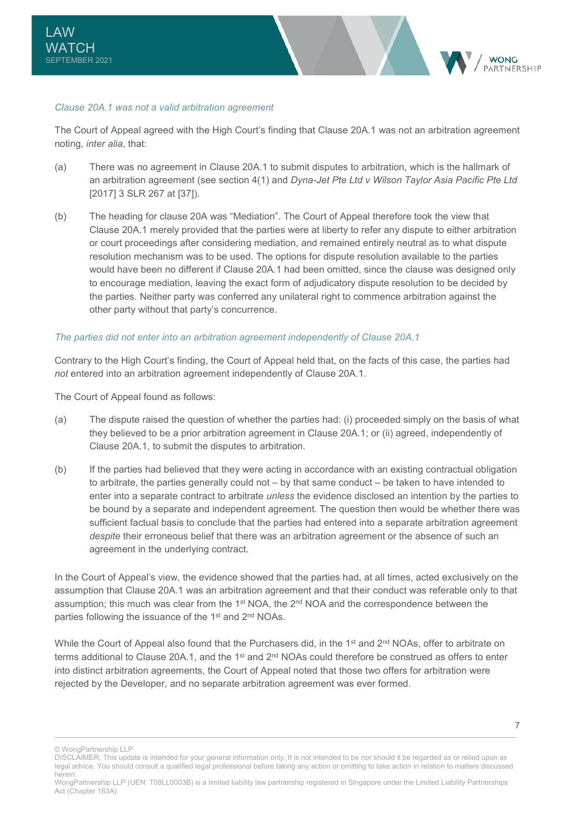#### *Clause 20A.1 was not a valid arbitration agreement*

The Court of Appeal agreed with the High Court's finding that Clause 20A.1 was not an arbitration agreement noting, *inter alia*, that:

- (a) There was no agreement in Clause 20A.1 to submit disputes to arbitration, which is the hallmark of an arbitration agreement (see section 4(1) and *Dyna-Jet Pte Ltd v Wilson Taylor Asia Pacific Pte Ltd* [2017] 3 SLR 267 at [37]).
- (b) The heading for clause 20A was "Mediation". The Court of Appeal therefore took the view that Clause 20A.1 merely provided that the parties were at liberty to refer any dispute to either arbitration or court proceedings after considering mediation, and remained entirely neutral as to what dispute resolution mechanism was to be used. The options for dispute resolution available to the parties would have been no different if Clause 20A.1 had been omitted, since the clause was designed only to encourage mediation, leaving the exact form of adjudicatory dispute resolution to be decided by the parties. Neither party was conferred any unilateral right to commence arbitration against the other party without that party's concurrence.

#### *The parties did not enter into an arbitration agreement independently of Clause 20A.1*

Contrary to the High Court's finding, the Court of Appeal held that, on the facts of this case, the parties had *not* entered into an arbitration agreement independently of Clause 20A.1.

The Court of Appeal found as follows:

- (a) The dispute raised the question of whether the parties had: (i) proceeded simply on the basis of what they believed to be a prior arbitration agreement in Clause 20A.1; or (ii) agreed, independently of Clause 20A.1, to submit the disputes to arbitration.
- (b) If the parties had believed that they were acting in accordance with an existing contractual obligation to arbitrate, the parties generally could not – by that same conduct – be taken to have intended to enter into a separate contract to arbitrate *unless* the evidence disclosed an intention by the parties to be bound by a separate and independent agreement. The question then would be whether there was sufficient factual basis to conclude that the parties had entered into a separate arbitration agreement *despite* their erroneous belief that there was an arbitration agreement or the absence of such an agreement in the underlying contract.

In the Court of Appeal's view, the evidence showed that the parties had, at all times, acted exclusively on the assumption that Clause 20A.1 was an arbitration agreement and that their conduct was referable only to that assumption; this much was clear from the 1<sup>st</sup> NOA, the 2<sup>nd</sup> NOA and the correspondence between the parties following the issuance of the 1<sup>st</sup> and 2<sup>nd</sup> NOAs.

While the Court of Appeal also found that the Purchasers did, in the 1<sup>st</sup> and 2<sup>nd</sup> NOAs, offer to arbitrate on terms additional to Clause 20A.1, and the 1<sup>st</sup> and 2<sup>nd</sup> NOAs could therefore be construed as offers to enter into distinct arbitration agreements, the Court of Appeal noted that those two offers for arbitration were rejected by the Developer, and no separate arbitration agreement was ever formed.

**WONG ARTNERSHIP** 

<sup>©</sup> WongPartnership LLP

DISCLAIMER: This update is intended for your general information only. It is not intended to be nor should it be regarded as or relied upon as legal advice. You should consult a qualified legal professional before taking any action or omitting to take action in relation to matters discussed herein.

WongPartnership LLP (UEN: T08LL0003B) is a limited liability law partnership registered in Singapore under the Limited Liability Partnerships Act (Chapter 163A).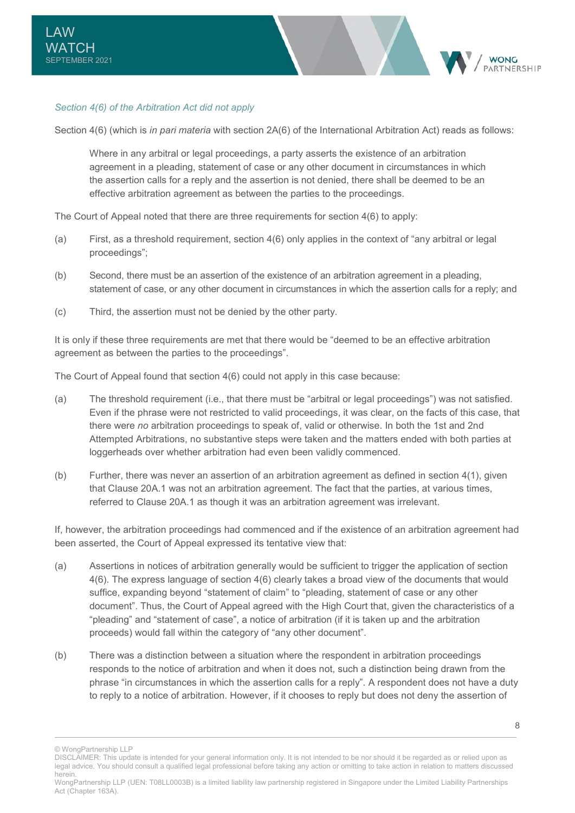

#### *Section 4(6) of the Arbitration Act did not apply*

Section 4(6) (which is *in pari materia* with section 2A(6) of the International Arbitration Act) reads as follows:

Where in any arbitral or legal proceedings, a party asserts the existence of an arbitration agreement in a pleading, statement of case or any other document in circumstances in which the assertion calls for a reply and the assertion is not denied, there shall be deemed to be an effective arbitration agreement as between the parties to the proceedings.

The Court of Appeal noted that there are three requirements for section 4(6) to apply:

- (a) First, as a threshold requirement, section 4(6) only applies in the context of "any arbitral or legal proceedings";
- (b) Second, there must be an assertion of the existence of an arbitration agreement in a pleading, statement of case, or any other document in circumstances in which the assertion calls for a reply; and
- (c) Third, the assertion must not be denied by the other party.

It is only if these three requirements are met that there would be "deemed to be an effective arbitration agreement as between the parties to the proceedings".

The Court of Appeal found that section 4(6) could not apply in this case because:

- (a) The threshold requirement (i.e., that there must be "arbitral or legal proceedings") was not satisfied. Even if the phrase were not restricted to valid proceedings, it was clear, on the facts of this case, that there were *no* arbitration proceedings to speak of, valid or otherwise. In both the 1st and 2nd Attempted Arbitrations, no substantive steps were taken and the matters ended with both parties at loggerheads over whether arbitration had even been validly commenced.
- (b) Further, there was never an assertion of an arbitration agreement as defined in section 4(1), given that Clause 20A.1 was not an arbitration agreement. The fact that the parties, at various times, referred to Clause 20A.1 as though it was an arbitration agreement was irrelevant.

If, however, the arbitration proceedings had commenced and if the existence of an arbitration agreement had been asserted, the Court of Appeal expressed its tentative view that:

- (a) Assertions in notices of arbitration generally would be sufficient to trigger the application of section 4(6). The express language of section 4(6) clearly takes a broad view of the documents that would suffice, expanding beyond "statement of claim" to "pleading, statement of case or any other document". Thus, the Court of Appeal agreed with the High Court that, given the characteristics of a "pleading" and "statement of case", a notice of arbitration (if it is taken up and the arbitration proceeds) would fall within the category of "any other document".
- (b) There was a distinction between a situation where the respondent in arbitration proceedings responds to the notice of arbitration and when it does not, such a distinction being drawn from the phrase "in circumstances in which the assertion calls for a reply". A respondent does not have a duty to reply to a notice of arbitration. However, if it chooses to reply but does not deny the assertion of

8

<sup>©</sup> WongPartnership LLP

DISCLAIMER: This update is intended for your general information only. It is not intended to be nor should it be regarded as or relied upon as legal advice. You should consult a qualified legal professional before taking any action or omitting to take action in relation to matters discussed herein.

WongPartnership LLP (UEN: T08LL0003B) is a limited liability law partnership registered in Singapore under the Limited Liability Partnerships Act (Chapter 163A).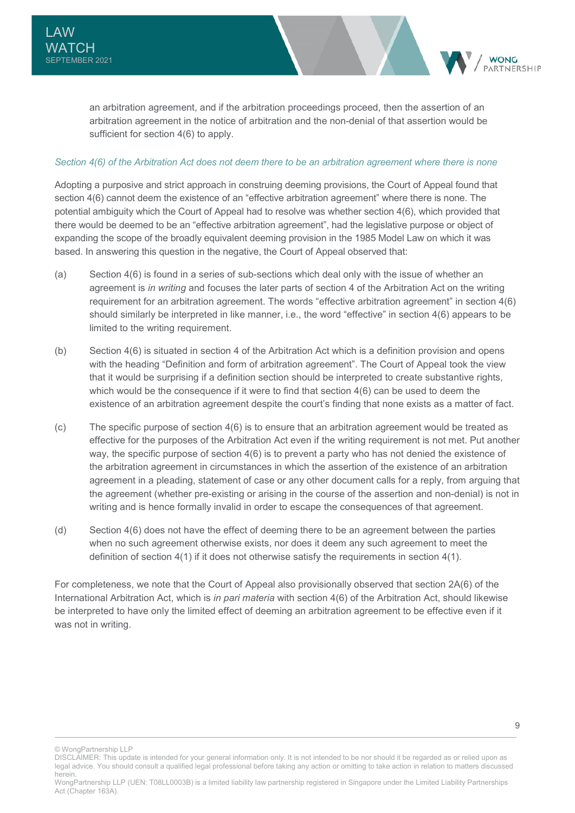an arbitration agreement, and if the arbitration proceedings proceed, then the assertion of an arbitration agreement in the notice of arbitration and the non-denial of that assertion would be sufficient for section 4(6) to apply.

#### *Section 4(6) of the Arbitration Act does not deem there to be an arbitration agreement where there is none*

Adopting a purposive and strict approach in construing deeming provisions, the Court of Appeal found that section 4(6) cannot deem the existence of an "effective arbitration agreement" where there is none. The potential ambiguity which the Court of Appeal had to resolve was whether section 4(6), which provided that there would be deemed to be an "effective arbitration agreement", had the legislative purpose or object of expanding the scope of the broadly equivalent deeming provision in the 1985 Model Law on which it was based. In answering this question in the negative, the Court of Appeal observed that:

- (a) Section 4(6) is found in a series of sub-sections which deal only with the issue of whether an agreement is *in writing* and focuses the later parts of section 4 of the Arbitration Act on the writing requirement for an arbitration agreement. The words "effective arbitration agreement" in section 4(6) should similarly be interpreted in like manner, i.e., the word "effective" in section 4(6) appears to be limited to the writing requirement.
- (b) Section 4(6) is situated in section 4 of the Arbitration Act which is a definition provision and opens with the heading "Definition and form of arbitration agreement". The Court of Appeal took the view that it would be surprising if a definition section should be interpreted to create substantive rights, which would be the consequence if it were to find that section 4(6) can be used to deem the existence of an arbitration agreement despite the court's finding that none exists as a matter of fact.
- (c) The specific purpose of section 4(6) is to ensure that an arbitration agreement would be treated as effective for the purposes of the Arbitration Act even if the writing requirement is not met. Put another way, the specific purpose of section 4(6) is to prevent a party who has not denied the existence of the arbitration agreement in circumstances in which the assertion of the existence of an arbitration agreement in a pleading, statement of case or any other document calls for a reply, from arguing that the agreement (whether pre-existing or arising in the course of the assertion and non-denial) is not in writing and is hence formally invalid in order to escape the consequences of that agreement.
- (d) Section 4(6) does not have the effect of deeming there to be an agreement between the parties when no such agreement otherwise exists, nor does it deem any such agreement to meet the definition of section  $4(1)$  if it does not otherwise satisfy the requirements in section  $4(1)$ .

For completeness, we note that the Court of Appeal also provisionally observed that section 2A(6) of the International Arbitration Act, which is *in pari materia* with section 4(6) of the Arbitration Act, should likewise be interpreted to have only the limited effect of deeming an arbitration agreement to be effective even if it was not in writing.

© WongPartnership LLP

9

**WONC** PARTNERSHIP

DISCLAIMER: This update is intended for your general information only. It is not intended to be nor should it be regarded as or relied upon as legal advice. You should consult a qualified legal professional before taking any action or omitting to take action in relation to matters discussed herein.

WongPartnership LLP (UEN: T08LL0003B) is a limited liability law partnership registered in Singapore under the Limited Liability Partnerships Act (Chapter 163A).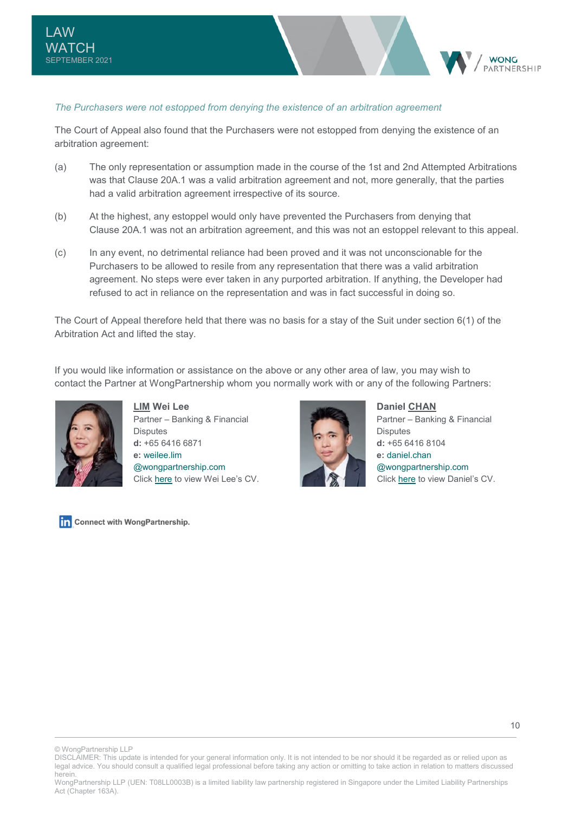#### *The Purchasers were not estopped from denying the existence of an arbitration agreement*

The Court of Appeal also found that the Purchasers were not estopped from denying the existence of an arbitration agreement:

- (a) The only representation or assumption made in the course of the 1st and 2nd Attempted Arbitrations was that Clause 20A.1 was a valid arbitration agreement and not, more generally, that the parties had a valid arbitration agreement irrespective of its source.
- (b) At the highest, any estoppel would only have prevented the Purchasers from denying that Clause 20A.1 was not an arbitration agreement, and this was not an estoppel relevant to this appeal.
- (c) In any event, no detrimental reliance had been proved and it was not unconscionable for the Purchasers to be allowed to resile from any representation that there was a valid arbitration agreement. No steps were ever taken in any purported arbitration. If anything, the Developer had refused to act in reliance on the representation and was in fact successful in doing so.

The Court of Appeal therefore held that there was no basis for a stay of the Suit under section 6(1) of the Arbitration Act and lifted the stay.

If you would like information or assistance on the above or any other area of law, you may wish to contact the Partner at WongPartnership whom you normally work with or any of the following Partners:



**LIM Wei Lee**  Partner – Banking & Financial **Disputes d:** +65 6416 6871 **e:** [weilee.lim](mailto:weilee.lim@wongpartnership.com)  [@wongpartnership.com](mailto:weilee.lim@wongpartnership.com) Click [here t](https://www.wongpartnership.com/people/detail/lim-wei-lee)o view Wei Lee's CV.

Connect with WongPartnership.



**Daniel CHAN**  Partner – Banking & Financial **Disputes d:** +65 6416 8104 **e:** [daniel.chan](mailto:daniel.chan@wongpartnership.com)  [@wongpartnership.com](mailto:daniel.chan@wongpartnership.com) Click [here](https://www.wongpartnership.com/people/detail/daniel-chan) to view Daniel's CV.

**WONG ARTNERSHIP** 

© WongPartnership LLP

DISCLAIMER: This update is intended for your general information only. It is not intended to be nor should it be regarded as or relied upon as legal advice. You should consult a qualified legal professional before taking any action or omitting to take action in relation to matters discussed herein.

WongPartnership LLP (UEN: T08LL0003B) is a limited liability law partnership registered in Singapore under the Limited Liability Partnerships Act (Chapter 163A).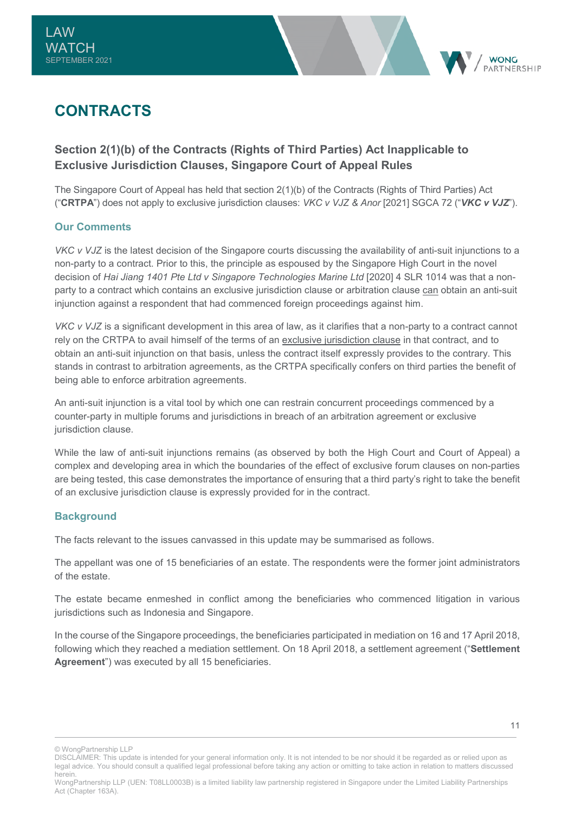<span id="page-11-0"></span>



## **CONTRACTS**

## **Section 2(1)(b) of the Contracts (Rights of Third Parties) Act Inapplicable to Exclusive Jurisdiction Clauses, Singapore Court of Appeal Rules**

The Singapore Court of Appeal has held that section 2(1)(b) of the Contracts (Rights of Third Parties) Act ("**CRTPA**") does not apply to exclusive jurisdiction clauses: *VKC v VJZ & Anor* [2021] SGCA 72 ("*VKC v VJZ*").

## **Our Comments**

*VKC v VJZ* is the latest decision of the Singapore courts discussing the availability of anti-suit injunctions to a non-party to a contract. Prior to this, the principle as espoused by the Singapore High Court in the novel decision of *Hai Jiang 1401 Pte Ltd v Singapore Technologies Marine Ltd* [2020] 4 SLR 1014 was that a nonparty to a contract which contains an exclusive jurisdiction clause or arbitration clause can obtain an anti-suit injunction against a respondent that had commenced foreign proceedings against him.

*VKC v VJZ* is a significant development in this area of law, as it clarifies that a non-party to a contract cannot rely on the CRTPA to avail himself of the terms of an exclusive jurisdiction clause in that contract, and to obtain an anti-suit injunction on that basis, unless the contract itself expressly provides to the contrary. This stands in contrast to arbitration agreements, as the CRTPA specifically confers on third parties the benefit of being able to enforce arbitration agreements.

An anti-suit injunction is a vital tool by which one can restrain concurrent proceedings commenced by a counter-party in multiple forums and jurisdictions in breach of an arbitration agreement or exclusive jurisdiction clause.

While the law of anti-suit injunctions remains (as observed by both the High Court and Court of Appeal) a complex and developing area in which the boundaries of the effect of exclusive forum clauses on non-parties are being tested, this case demonstrates the importance of ensuring that a third party's right to take the benefit of an exclusive jurisdiction clause is expressly provided for in the contract.

#### **Background**

The facts relevant to the issues canvassed in this update may be summarised as follows.

The appellant was one of 15 beneficiaries of an estate. The respondents were the former joint administrators of the estate.

The estate became enmeshed in conflict among the beneficiaries who commenced litigation in various jurisdictions such as Indonesia and Singapore.

In the course of the Singapore proceedings, the beneficiaries participated in mediation on 16 and 17 April 2018, following which they reached a mediation settlement. On 18 April 2018, a settlement agreement ("**Settlement Agreement**") was executed by all 15 beneficiaries.

© WongPartnership LLP

11

DISCLAIMER: This update is intended for your general information only. It is not intended to be nor should it be regarded as or relied upon as legal advice. You should consult a qualified legal professional before taking any action or omitting to take action in relation to matters discussed herein.

WongPartnership LLP (UEN: T08LL0003B) is a limited liability law partnership registered in Singapore under the Limited Liability Partnerships Act (Chapter 163A).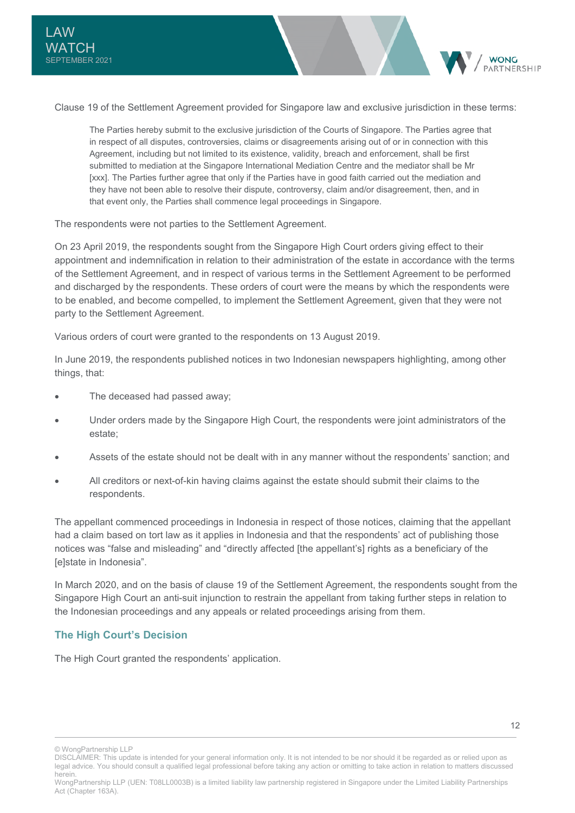Clause 19 of the Settlement Agreement provided for Singapore law and exclusive jurisdiction in these terms:

The Parties hereby submit to the exclusive jurisdiction of the Courts of Singapore. The Parties agree that in respect of all disputes, controversies, claims or disagreements arising out of or in connection with this Agreement, including but not limited to its existence, validity, breach and enforcement, shall be first submitted to mediation at the Singapore International Mediation Centre and the mediator shall be Mr [xxx]. The Parties further agree that only if the Parties have in good faith carried out the mediation and they have not been able to resolve their dispute, controversy, claim and/or disagreement, then, and in that event only, the Parties shall commence legal proceedings in Singapore.

The respondents were not parties to the Settlement Agreement.

On 23 April 2019, the respondents sought from the Singapore High Court orders giving effect to their appointment and indemnification in relation to their administration of the estate in accordance with the terms of the Settlement Agreement, and in respect of various terms in the Settlement Agreement to be performed and discharged by the respondents. These orders of court were the means by which the respondents were to be enabled, and become compelled, to implement the Settlement Agreement, given that they were not party to the Settlement Agreement.

Various orders of court were granted to the respondents on 13 August 2019.

In June 2019, the respondents published notices in two Indonesian newspapers highlighting, among other things, that:

- The deceased had passed away;
- Under orders made by the Singapore High Court, the respondents were joint administrators of the estate;
- Assets of the estate should not be dealt with in any manner without the respondents' sanction; and
- All creditors or next-of-kin having claims against the estate should submit their claims to the respondents.

The appellant commenced proceedings in Indonesia in respect of those notices, claiming that the appellant had a claim based on tort law as it applies in Indonesia and that the respondents' act of publishing those notices was "false and misleading" and "directly affected [the appellant's] rights as a beneficiary of the [e]state in Indonesia".

In March 2020, and on the basis of clause 19 of the Settlement Agreement, the respondents sought from the Singapore High Court an anti-suit injunction to restrain the appellant from taking further steps in relation to the Indonesian proceedings and any appeals or related proceedings arising from them.

#### **The High Court's Decision**

The High Court granted the respondents' application.

**WONC** 

© WongPartnership LLP

<sup>12</sup> 

DISCLAIMER: This update is intended for your general information only. It is not intended to be nor should it be regarded as or relied upon as legal advice. You should consult a qualified legal professional before taking any action or omitting to take action in relation to matters discussed herein.

WongPartnership LLP (UEN: T08LL0003B) is a limited liability law partnership registered in Singapore under the Limited Liability Partnerships Act (Chapter 163A).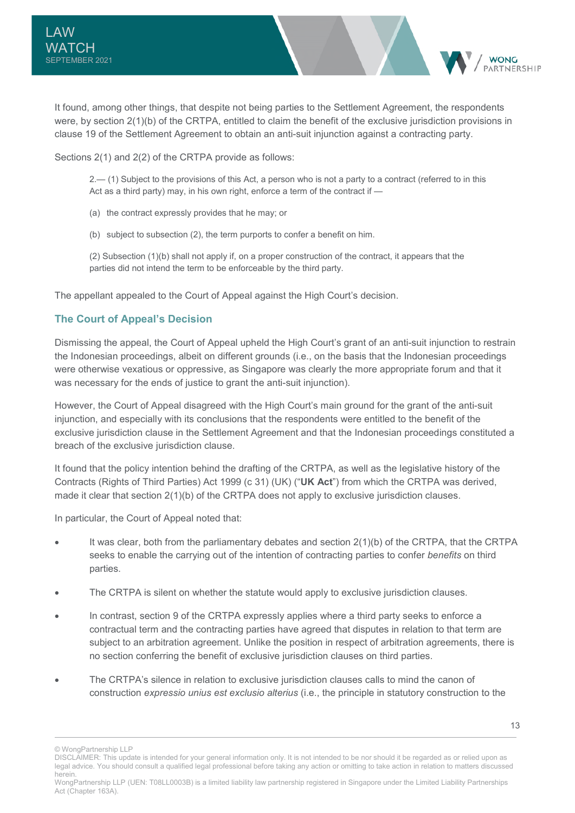It found, among other things, that despite not being parties to the Settlement Agreement, the respondents were, by section 2(1)(b) of the CRTPA, entitled to claim the benefit of the exclusive jurisdiction provisions in clause 19 of the Settlement Agreement to obtain an anti-suit injunction against a contracting party.

Sections 2(1) and 2(2) of the CRTPA provide as follows:

2.— (1) Subject to the provisions of this Act, a person who is not a party to a contract (referred to in this Act as a third party) may, in his own right, enforce a term of the contract if —

- (a) the contract expressly provides that he may; or
- (b) subject to subsection (2), the term purports to confer a benefit on him.

(2) Subsection (1)(b) shall not apply if, on a proper construction of the contract, it appears that the parties did not intend the term to be enforceable by the third party.

The appellant appealed to the Court of Appeal against the High Court's decision.

## **The Court of Appeal's Decision**

Dismissing the appeal, the Court of Appeal upheld the High Court's grant of an anti-suit injunction to restrain the Indonesian proceedings, albeit on different grounds (i.e., on the basis that the Indonesian proceedings were otherwise vexatious or oppressive, as Singapore was clearly the more appropriate forum and that it was necessary for the ends of justice to grant the anti-suit injunction).

However, the Court of Appeal disagreed with the High Court's main ground for the grant of the anti-suit injunction, and especially with its conclusions that the respondents were entitled to the benefit of the exclusive jurisdiction clause in the Settlement Agreement and that the Indonesian proceedings constituted a breach of the exclusive jurisdiction clause.

It found that the policy intention behind the drafting of the CRTPA, as well as the legislative history of the Contracts (Rights of Third Parties) Act 1999 (c 31) (UK) ("**UK Act**") from which the CRTPA was derived, made it clear that section 2(1)(b) of the CRTPA does not apply to exclusive jurisdiction clauses.

In particular, the Court of Appeal noted that:

- It was clear, both from the parliamentary debates and section 2(1)(b) of the CRTPA, that the CRTPA seeks to enable the carrying out of the intention of contracting parties to confer *benefits* on third parties.
- The CRTPA is silent on whether the statute would apply to exclusive jurisdiction clauses.
- In contrast, section 9 of the CRTPA expressly applies where a third party seeks to enforce a contractual term and the contracting parties have agreed that disputes in relation to that term are subject to an arbitration agreement. Unlike the position in respect of arbitration agreements, there is no section conferring the benefit of exclusive jurisdiction clauses on third parties.
- The CRTPA's silence in relation to exclusive jurisdiction clauses calls to mind the canon of construction *expressio unius est exclusio alterius* (i.e., the principle in statutory construction to the

**WONC** 

<sup>©</sup> WongPartnership LLP

DISCLAIMER: This update is intended for your general information only. It is not intended to be nor should it be regarded as or relied upon as legal advice. You should consult a qualified legal professional before taking any action or omitting to take action in relation to matters discussed herein.

WongPartnership LLP (UEN: T08LL0003B) is a limited liability law partnership registered in Singapore under the Limited Liability Partnerships Act (Chapter 163A).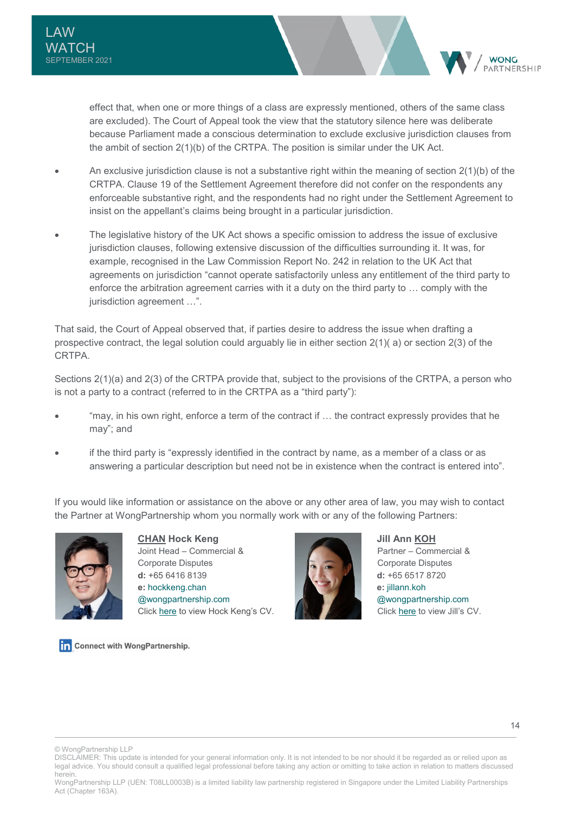effect that, when one or more things of a class are expressly mentioned, others of the same class are excluded). The Court of Appeal took the view that the statutory silence here was deliberate because Parliament made a conscious determination to exclude exclusive jurisdiction clauses from the ambit of section 2(1)(b) of the CRTPA. The position is similar under the UK Act.

- An exclusive jurisdiction clause is not a substantive right within the meaning of section 2(1)(b) of the CRTPA. Clause 19 of the Settlement Agreement therefore did not confer on the respondents any enforceable substantive right, and the respondents had no right under the Settlement Agreement to insist on the appellant's claims being brought in a particular jurisdiction.
- The legislative history of the UK Act shows a specific omission to address the issue of exclusive jurisdiction clauses, following extensive discussion of the difficulties surrounding it. It was, for example, recognised in the Law Commission Report No. 242 in relation to the UK Act that agreements on jurisdiction "cannot operate satisfactorily unless any entitlement of the third party to enforce the arbitration agreement carries with it a duty on the third party to … comply with the jurisdiction agreement …".

That said, the Court of Appeal observed that, if parties desire to address the issue when drafting a prospective contract, the legal solution could arguably lie in either section 2(1)( a) or section 2(3) of the **CRTPA** 

Sections 2(1)(a) and 2(3) of the CRTPA provide that, subject to the provisions of the CRTPA, a person who is not a party to a contract (referred to in the CRTPA as a "third party"):

- "may, in his own right, enforce a term of the contract if … the contract expressly provides that he may"; and
- if the third party is "expressly identified in the contract by name, as a member of a class or as answering a particular description but need not be in existence when the contract is entered into".

If you would like information or assistance on the above or any other area of law, you may wish to contact the Partner at WongPartnership whom you normally work with or any of the following Partners:



**CHAN Hock Keng**  Joint Head – Commercial & Corporate Disputes **d:** +65 6416 8139 **e:** [hockkeng.chan](mailto:hockkeng.chan@wongpartnership.com)  [@wongpartnership.com](mailto:hockkeng.chan@wongpartnership.com) Click [here](https://www.wongpartnership.com/people/detail/chan-hock-keng) to view Hock Keng's CV.



**Jill Ann KOH**  Partner – Commercial & Corporate Disputes **d:** +65 6517 8720 **e:** [jillann.koh](mailto:jillann.koh@wongpartnership.com)  [@wongpartnership.com](mailto:jillann.koh@wongpartnership.com) Click [here](https://www.wongpartnership.com/people/detail/jill-ann-koh) to view Jill's CV.

Connect with WongPartnership.

© WongPartnership LLP

**WONG ARTNERSHIP** 

DISCLAIMER: This update is intended for your general information only. It is not intended to be nor should it be regarded as or relied upon as legal advice. You should consult a qualified legal professional before taking any action or omitting to take action in relation to matters discussed herein.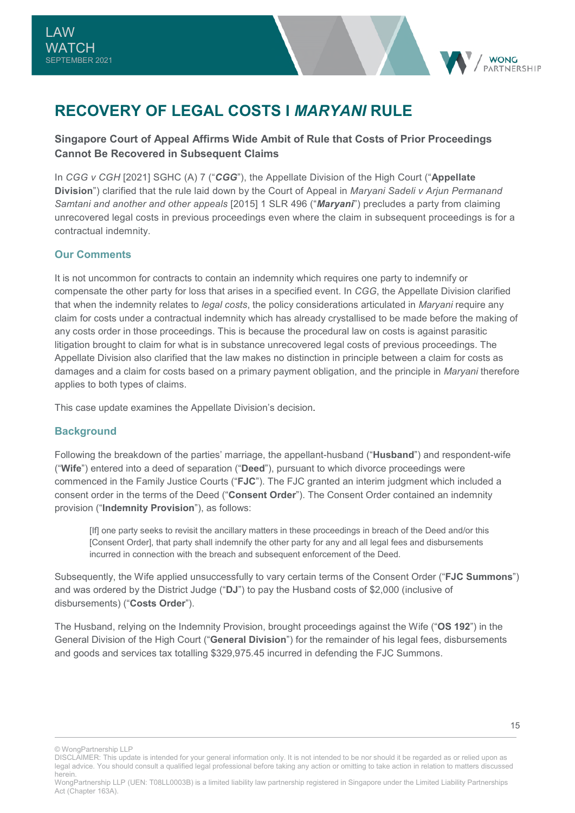

## <span id="page-15-0"></span>**RECOVERY OF LEGAL COSTS I** *MARYANI* **RULE**

## **Singapore Court of Appeal Affirms Wide Ambit of Rule that Costs of Prior Proceedings Cannot Be Recovered in Subsequent Claims**

In *CGG v CGH* [2021] SGHC (A) 7 ("*CGG*"), the Appellate Division of the High Court ("**Appellate Division**") clarified that the rule laid down by the Court of Appeal in *Maryani Sadeli v Arjun Permanand Samtani and another and other appeals* [2015] 1 SLR 496 ("*Maryani*") precludes a party from claiming unrecovered legal costs in previous proceedings even where the claim in subsequent proceedings is for a contractual indemnity.

## **Our Comments**

It is not uncommon for contracts to contain an indemnity which requires one party to indemnify or compensate the other party for loss that arises in a specified event. In *CGG*, the Appellate Division clarified that when the indemnity relates to *legal costs*, the policy considerations articulated in *Maryani* require any claim for costs under a contractual indemnity which has already crystallised to be made before the making of any costs order in those proceedings. This is because the procedural law on costs is against parasitic litigation brought to claim for what is in substance unrecovered legal costs of previous proceedings. The Appellate Division also clarified that the law makes no distinction in principle between a claim for costs as damages and a claim for costs based on a primary payment obligation, and the principle in *Maryani* therefore applies to both types of claims.

This case update examines the Appellate Division's decision.

#### **Background**

Following the breakdown of the parties' marriage, the appellant-husband ("**Husband**") and respondent-wife ("**Wife**") entered into a deed of separation ("**Deed**"), pursuant to which divorce proceedings were commenced in the Family Justice Courts ("**FJC**"). The FJC granted an interim judgment which included a consent order in the terms of the Deed ("**Consent Order**"). The Consent Order contained an indemnity provision ("**Indemnity Provision**"), as follows:

[If] one party seeks to revisit the ancillary matters in these proceedings in breach of the Deed and/or this [Consent Order], that party shall indemnify the other party for any and all legal fees and disbursements incurred in connection with the breach and subsequent enforcement of the Deed.

Subsequently, the Wife applied unsuccessfully to vary certain terms of the Consent Order ("**FJC Summons**") and was ordered by the District Judge ("**DJ**") to pay the Husband costs of \$2,000 (inclusive of disbursements) ("**Costs Order**").

The Husband, relying on the Indemnity Provision, brought proceedings against the Wife ("**OS 192**") in the General Division of the High Court ("**General Division**") for the remainder of his legal fees, disbursements and goods and services tax totalling \$329,975.45 incurred in defending the FJC Summons.

© WongPartnership LLP

DISCLAIMER: This update is intended for your general information only. It is not intended to be nor should it be regarded as or relied upon as legal advice. You should consult a qualified legal professional before taking any action or omitting to take action in relation to matters discussed herein.

WongPartnership LLP (UEN: T08LL0003B) is a limited liability law partnership registered in Singapore under the Limited Liability Partnerships Act (Chapter 163A).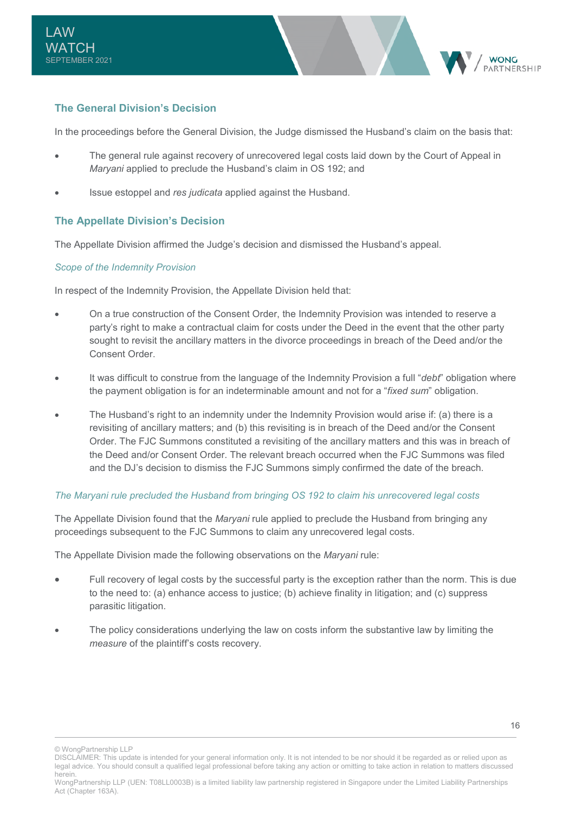

## **The General Division's Decision**

In the proceedings before the General Division, the Judge dismissed the Husband's claim on the basis that:

- The general rule against recovery of unrecovered legal costs laid down by the Court of Appeal in *Maryani* applied to preclude the Husband's claim in OS 192; and
- Issue estoppel and *res judicata* applied against the Husband.

#### **The Appellate Division's Decision**

The Appellate Division affirmed the Judge's decision and dismissed the Husband's appeal.

#### *Scope of the Indemnity Provision*

In respect of the Indemnity Provision, the Appellate Division held that:

- On a true construction of the Consent Order, the Indemnity Provision was intended to reserve a party's right to make a contractual claim for costs under the Deed in the event that the other party sought to revisit the ancillary matters in the divorce proceedings in breach of the Deed and/or the Consent Order.
- It was difficult to construe from the language of the Indemnity Provision a full "*debt*" obligation where the payment obligation is for an indeterminable amount and not for a "*fixed sum*" obligation.
- The Husband's right to an indemnity under the Indemnity Provision would arise if: (a) there is a revisiting of ancillary matters; and (b) this revisiting is in breach of the Deed and/or the Consent Order. The FJC Summons constituted a revisiting of the ancillary matters and this was in breach of the Deed and/or Consent Order. The relevant breach occurred when the FJC Summons was filed and the DJ's decision to dismiss the FJC Summons simply confirmed the date of the breach.

#### *The Maryani rule precluded the Husband from bringing OS 192 to claim his unrecovered legal costs*

The Appellate Division found that the *Maryani* rule applied to preclude the Husband from bringing any proceedings subsequent to the FJC Summons to claim any unrecovered legal costs.

The Appellate Division made the following observations on the *Maryani* rule:

- Full recovery of legal costs by the successful party is the exception rather than the norm. This is due to the need to: (a) enhance access to justice; (b) achieve finality in litigation; and (c) suppress parasitic litigation.
- The policy considerations underlying the law on costs inform the substantive law by limiting the *measure* of the plaintiff's costs recovery.

© WongPartnership LLP

DISCLAIMER: This update is intended for your general information only. It is not intended to be nor should it be regarded as or relied upon as legal advice. You should consult a qualified legal professional before taking any action or omitting to take action in relation to matters discussed herein.

WongPartnership LLP (UEN: T08LL0003B) is a limited liability law partnership registered in Singapore under the Limited Liability Partnerships Act (Chapter 163A).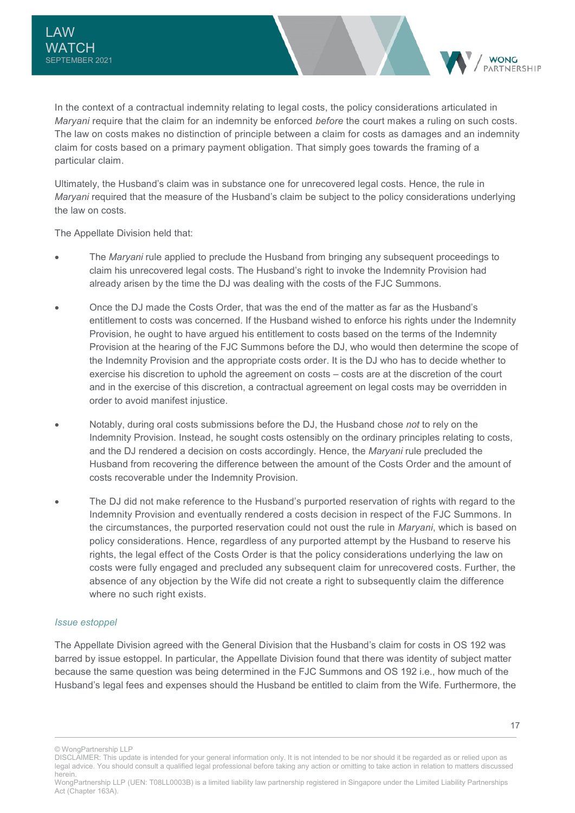In the context of a contractual indemnity relating to legal costs, the policy considerations articulated in *Maryani* require that the claim for an indemnity be enforced *before* the court makes a ruling on such costs. The law on costs makes no distinction of principle between a claim for costs as damages and an indemnity claim for costs based on a primary payment obligation. That simply goes towards the framing of a particular claim.

Ultimately, the Husband's claim was in substance one for unrecovered legal costs. Hence, the rule in *Maryani* required that the measure of the Husband's claim be subject to the policy considerations underlying the law on costs.

The Appellate Division held that:

- The *Maryani* rule applied to preclude the Husband from bringing any subsequent proceedings to claim his unrecovered legal costs. The Husband's right to invoke the Indemnity Provision had already arisen by the time the DJ was dealing with the costs of the FJC Summons.
- Once the DJ made the Costs Order, that was the end of the matter as far as the Husband's entitlement to costs was concerned. If the Husband wished to enforce his rights under the Indemnity Provision, he ought to have argued his entitlement to costs based on the terms of the Indemnity Provision at the hearing of the FJC Summons before the DJ, who would then determine the scope of the Indemnity Provision and the appropriate costs order. It is the DJ who has to decide whether to exercise his discretion to uphold the agreement on costs – costs are at the discretion of the court and in the exercise of this discretion, a contractual agreement on legal costs may be overridden in order to avoid manifest injustice.
- Notably, during oral costs submissions before the DJ, the Husband chose *not* to rely on the Indemnity Provision. Instead, he sought costs ostensibly on the ordinary principles relating to costs, and the DJ rendered a decision on costs accordingly. Hence, the *Maryani* rule precluded the Husband from recovering the difference between the amount of the Costs Order and the amount of costs recoverable under the Indemnity Provision.
- The DJ did not make reference to the Husband's purported reservation of rights with regard to the Indemnity Provision and eventually rendered a costs decision in respect of the FJC Summons. In the circumstances, the purported reservation could not oust the rule in *Maryani*, which is based on policy considerations. Hence, regardless of any purported attempt by the Husband to reserve his rights, the legal effect of the Costs Order is that the policy considerations underlying the law on costs were fully engaged and precluded any subsequent claim for unrecovered costs. Further, the absence of any objection by the Wife did not create a right to subsequently claim the difference where no such right exists.

#### *Issue estoppel*

The Appellate Division agreed with the General Division that the Husband's claim for costs in OS 192 was barred by issue estoppel. In particular, the Appellate Division found that there was identity of subject matter because the same question was being determined in the FJC Summons and OS 192 i.e., how much of the Husband's legal fees and expenses should the Husband be entitled to claim from the Wife. Furthermore, the

**WONG** PARTNERSHIP

<sup>©</sup> WongPartnership LLP

DISCLAIMER: This update is intended for your general information only. It is not intended to be nor should it be regarded as or relied upon as legal advice. You should consult a qualified legal professional before taking any action or omitting to take action in relation to matters discussed herein.

WongPartnership LLP (UEN: T08LL0003B) is a limited liability law partnership registered in Singapore under the Limited Liability Partnerships Act (Chapter 163A).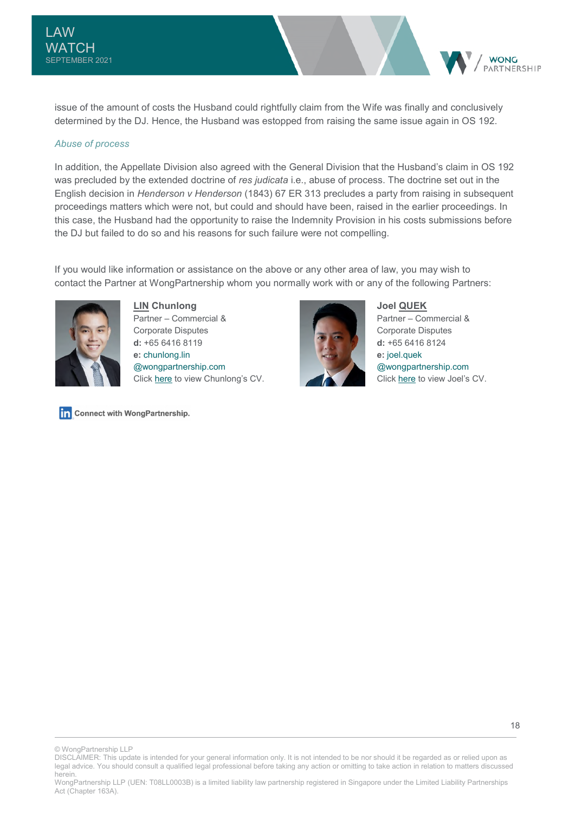issue of the amount of costs the Husband could rightfully claim from the Wife was finally and conclusively determined by the DJ. Hence, the Husband was estopped from raising the same issue again in OS 192.

#### *Abuse of process*

In addition, the Appellate Division also agreed with the General Division that the Husband's claim in OS 192 was precluded by the extended doctrine of *res judicata* i.e., abuse of process. The doctrine set out in the English decision in *Henderson v Henderson* (1843) 67 ER 313 precludes a party from raising in subsequent proceedings matters which were not, but could and should have been, raised in the earlier proceedings. In this case, the Husband had the opportunity to raise the Indemnity Provision in his costs submissions before the DJ but failed to do so and his reasons for such failure were not compelling.

If you would like information or assistance on the above or any other area of law, you may wish to contact the Partner at WongPartnership whom you normally work with or any of the following Partners:



**LIN Chunlong**  Partner – Commercial & Corporate Disputes **d:** +65 6416 8119 **e:** [chunlong.lin](mailto:chunlong.lin@wongpartnership.com)  [@wongpartnership.com](mailto:chunlong.lin@wongpartnership.com) Click [here t](https://www.wongpartnership.com/people/detail/lin-chunlong)o view Chunlong's CV.

Connect with WongPartnership.



**Joel QUEK**  Partner – Commercial & Corporate Disputes **d:** +65 6416 8124 **e:** [joel.quek](mailto:joel.quek@wongpartnership.com)  [@wongpartnership.com](mailto:joel.quek@wongpartnership.com) Click [here](https://www.wongpartnership.com/people/detail/joel-quek) to view Joel's CV.

**WONG** PARTNERSHIP

© WongPartnership LLP

DISCLAIMER: This update is intended for your general information only. It is not intended to be nor should it be regarded as or relied upon as legal advice. You should consult a qualified legal professional before taking any action or omitting to take action in relation to matters discussed herein.

WongPartnership LLP (UEN: T08LL0003B) is a limited liability law partnership registered in Singapore under the Limited Liability Partnerships Act (Chapter 163A).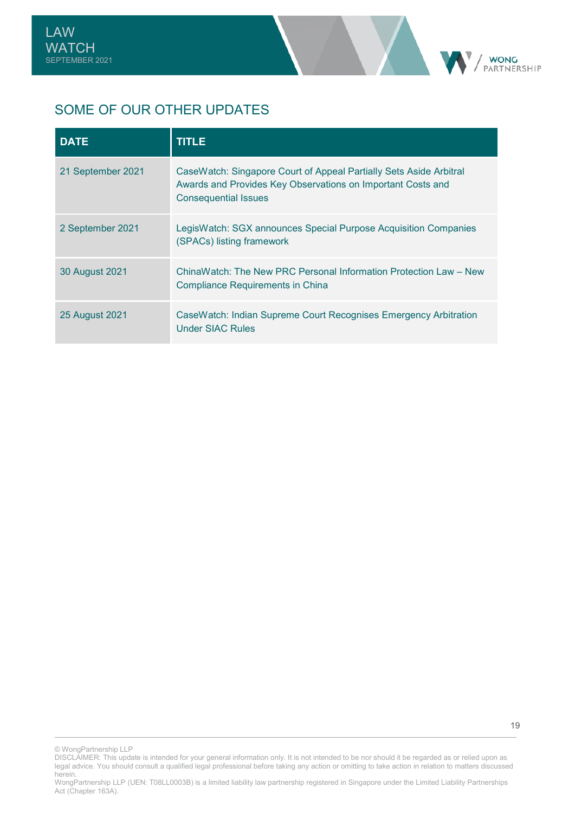

## SOME OF OUR OTHER UPDATES

| <b>DATE</b>           | <b>TITLE</b>                                                                                                                                                     |
|-----------------------|------------------------------------------------------------------------------------------------------------------------------------------------------------------|
| 21 September 2021     | CaseWatch: Singapore Court of Appeal Partially Sets Aside Arbitral<br>Awards and Provides Key Observations on Important Costs and<br><b>Consequential Issues</b> |
| 2 September 2021      | LegisWatch: SGX announces Special Purpose Acquisition Companies<br>(SPACs) listing framework                                                                     |
| 30 August 2021        | ChinaWatch: The New PRC Personal Information Protection Law – New<br><b>Compliance Requirements in China</b>                                                     |
| <b>25 August 2021</b> | CaseWatch: Indian Supreme Court Recognises Emergency Arbitration<br><b>Under SIAC Rules</b>                                                                      |

© WongPartnership LLP

DISCLAIMER: This update is intended for your general information only. It is not intended to be nor should it be regarded as or relied upon as legal advice. You should consult a qualified legal professional before taking any action or omitting to take action in relation to matters discussed herein.